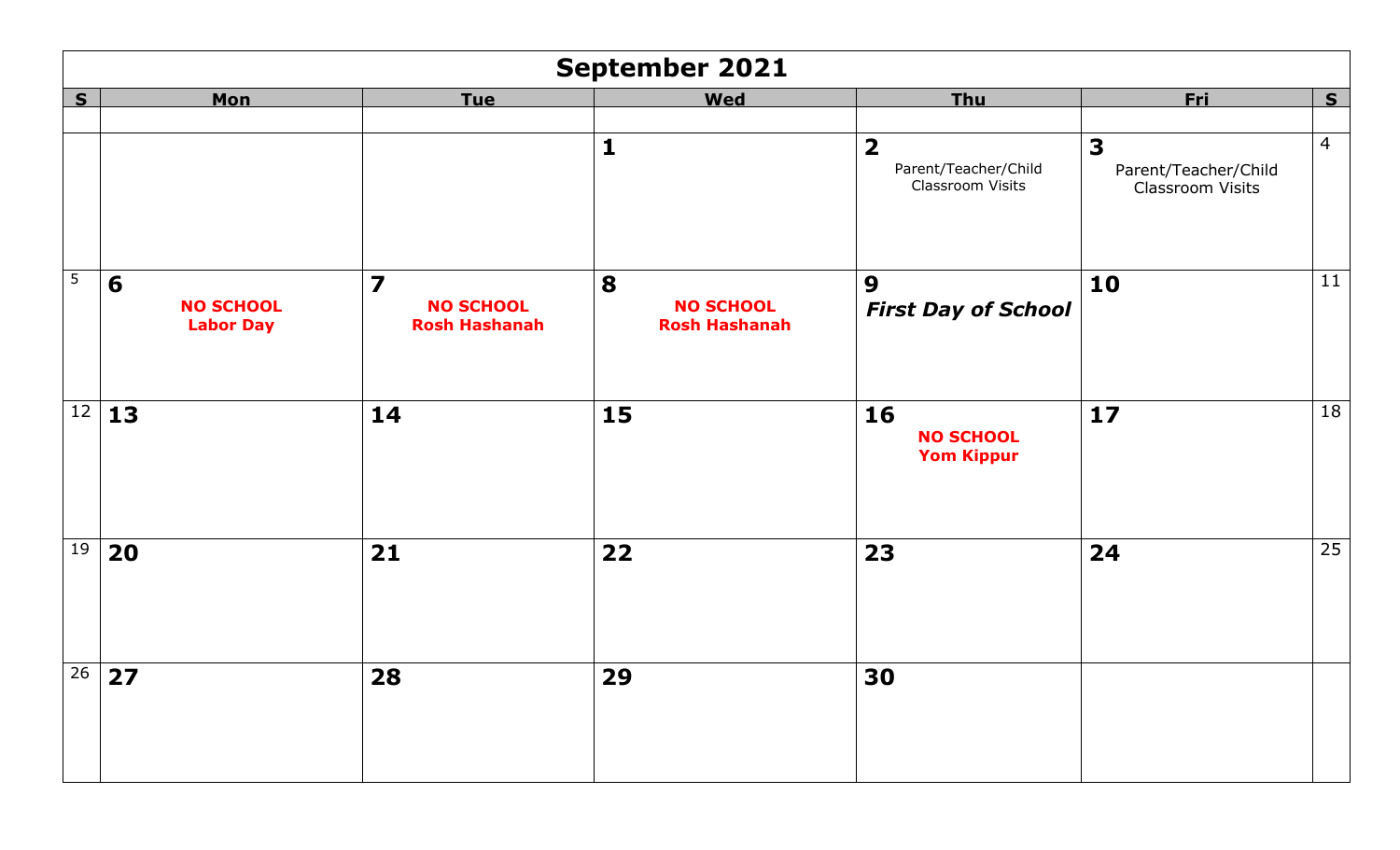|                 | September 2021                                                              |                                                                     |                                               |                                                                     |                                                                     |                |  |  |
|-----------------|-----------------------------------------------------------------------------|---------------------------------------------------------------------|-----------------------------------------------|---------------------------------------------------------------------|---------------------------------------------------------------------|----------------|--|--|
| S               | <b>Mon</b>                                                                  | <b>Tue</b>                                                          | <b>Wed</b>                                    | <b>Thu</b>                                                          | <u>Fri</u>                                                          | S              |  |  |
|                 |                                                                             |                                                                     | $\mathbf{1}$                                  | $\overline{\mathbf{2}}$<br>Parent/Teacher/Child<br>Classroom Visits | $\overline{\mathbf{3}}$<br>Parent/Teacher/Child<br>Classroom Visits | $\overline{4}$ |  |  |
| $5\phantom{.0}$ | 6<br><b>NO SCHOOL</b><br><b>Labor Day</b>                                   | $\overline{\mathbf{z}}$<br><b>NO SCHOOL</b><br><b>Rosh Hashanah</b> | 8<br><b>NO SCHOOL</b><br><b>Rosh Hashanah</b> | 9<br><b>First Day of School</b>                                     | 10                                                                  | 11             |  |  |
| 12              | 13                                                                          | 14                                                                  | 15                                            | <b>16</b><br><b>NO SCHOOL</b><br><b>Yom Kippur</b>                  | $17$                                                                | 18             |  |  |
| 19              | 20                                                                          | 21                                                                  | 22                                            | 23                                                                  | 24                                                                  | 25             |  |  |
|                 | $\overline{\left  \begin{array}{c c} 26 & \textbf{27} \end{array} \right }$ | <b>28</b>                                                           | 29                                            | 30                                                                  |                                                                     |                |  |  |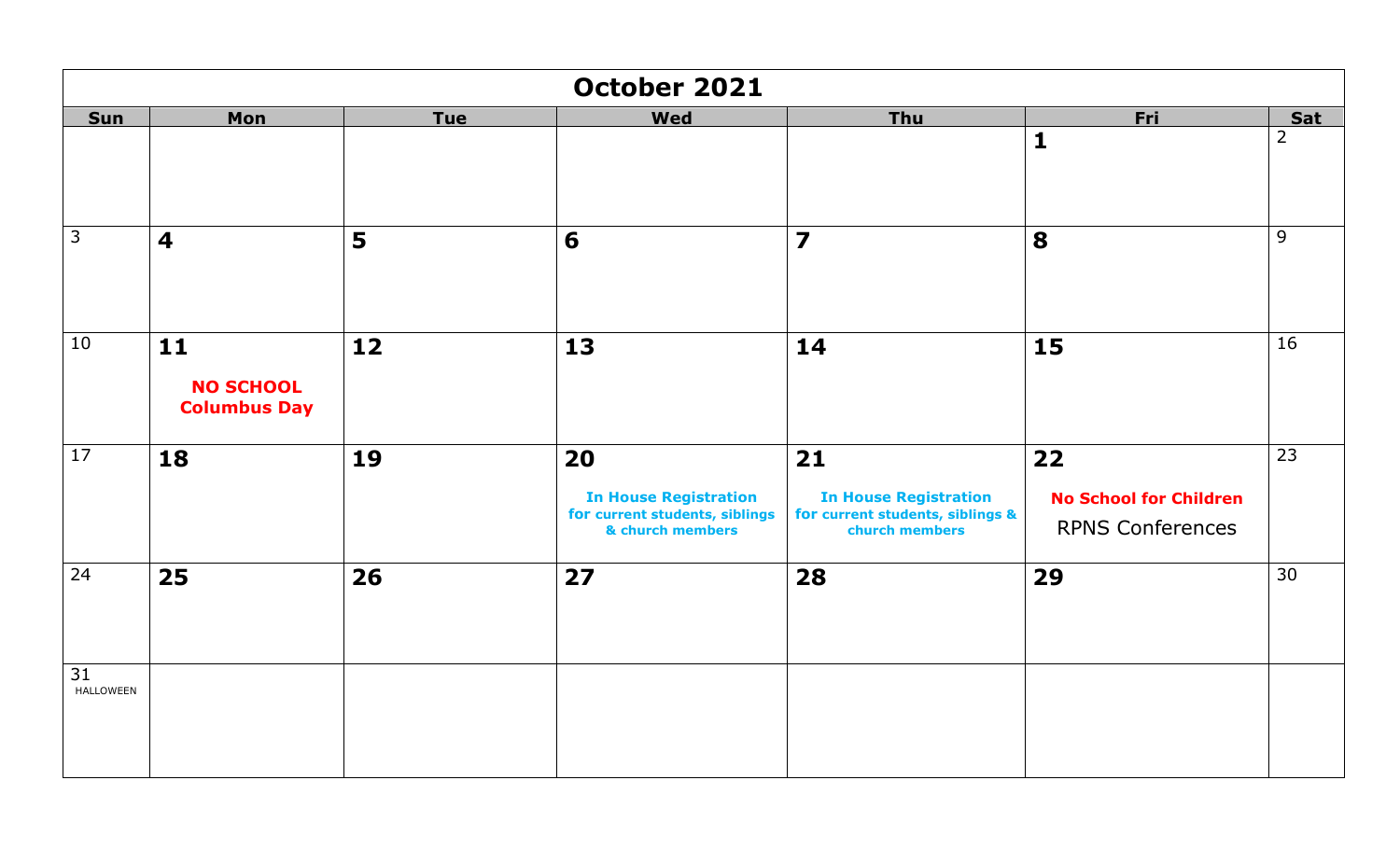|                        | October 2021                                    |            |                                                                                          |                                                                                          |                                                                |                 |  |  |
|------------------------|-------------------------------------------------|------------|------------------------------------------------------------------------------------------|------------------------------------------------------------------------------------------|----------------------------------------------------------------|-----------------|--|--|
| <b>Sun</b>             | Mon                                             | <b>Tue</b> | <b>Wed</b>                                                                               | Thu                                                                                      | Fri                                                            | <b>Sat</b>      |  |  |
|                        |                                                 |            |                                                                                          |                                                                                          | $\mathbf{1}$                                                   | $\overline{2}$  |  |  |
| $\overline{3}$         | $\overline{\mathbf{4}}$                         | 5          | 6                                                                                        | $\overline{\mathbf{z}}$                                                                  | 8                                                              | 9               |  |  |
| 10                     | $11$<br><b>NO SCHOOL</b><br><b>Columbus Day</b> | 12         | 13                                                                                       | 14                                                                                       | 15                                                             | 16              |  |  |
| $\overline{17}$        | 18                                              | 19         | 20<br><b>In House Registration</b><br>for current students, siblings<br>& church members | 21<br><b>In House Registration</b><br>for current students, siblings &<br>church members | 22<br><b>No School for Children</b><br><b>RPNS Conferences</b> | $\overline{23}$ |  |  |
| 24                     | 25                                              | 26         | 27                                                                                       | 28                                                                                       | 29                                                             | 30              |  |  |
| 31<br><b>HALLOWEEN</b> |                                                 |            |                                                                                          |                                                                                          |                                                                |                 |  |  |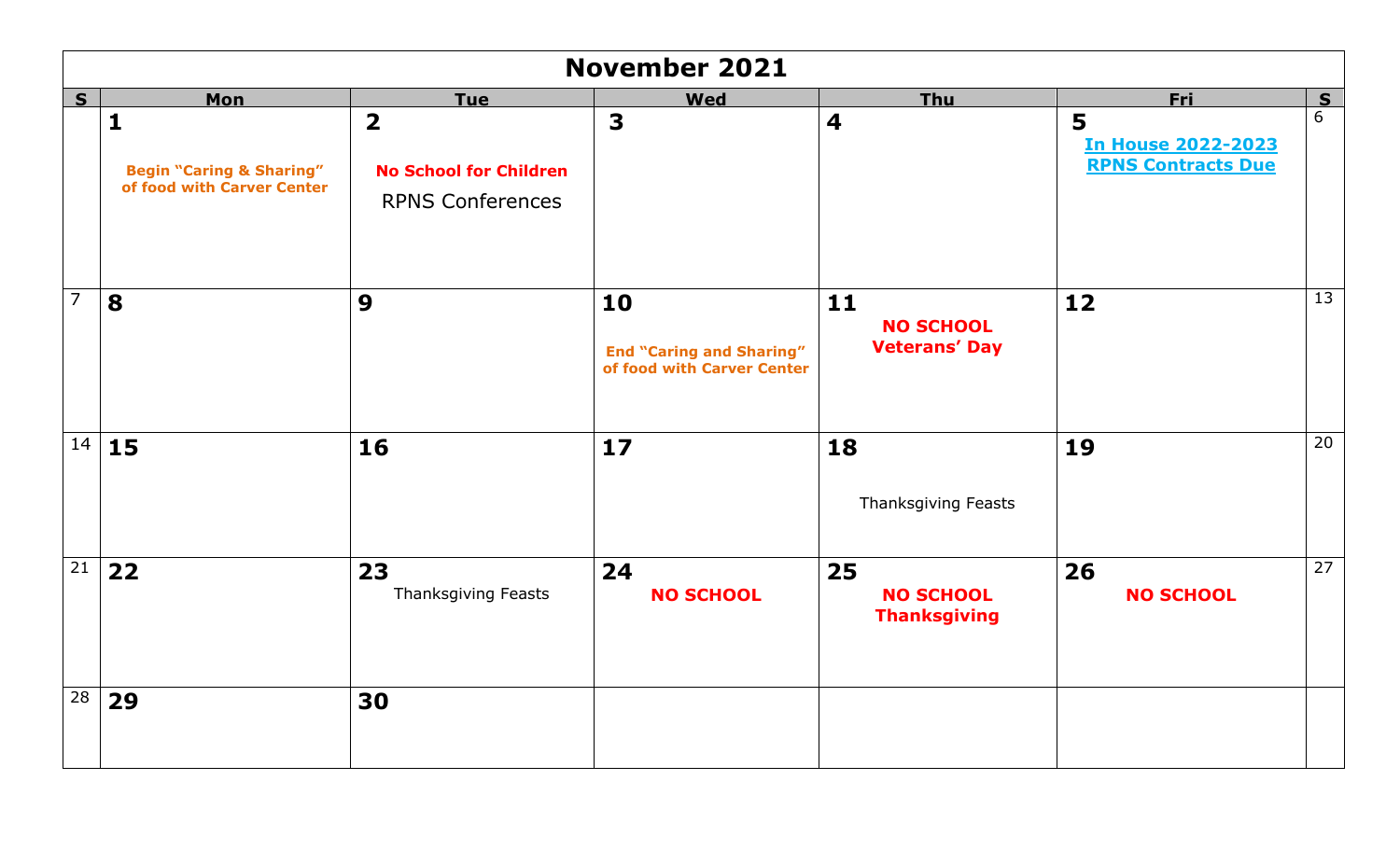|                 | <b>November 2021</b>                                                              |                                                                                     |                                                                     |                                                  |                                                             |    |  |  |
|-----------------|-----------------------------------------------------------------------------------|-------------------------------------------------------------------------------------|---------------------------------------------------------------------|--------------------------------------------------|-------------------------------------------------------------|----|--|--|
| S               | <b>Mon</b>                                                                        | <b>Tue</b>                                                                          | <b>Wed</b>                                                          | <b>Thu</b>                                       | <b>Fri</b>                                                  | S  |  |  |
|                 | $\mathbf{1}$<br><b>Begin "Caring &amp; Sharing"</b><br>of food with Carver Center | $\overline{\mathbf{2}}$<br><b>No School for Children</b><br><b>RPNS Conferences</b> | $\overline{\mathbf{3}}$                                             | $\overline{\mathbf{4}}$                          | 5<br><b>In House 2022-2023</b><br><b>RPNS Contracts Due</b> | 6  |  |  |
| $\overline{7}$  | 8                                                                                 | 9                                                                                   | 10<br><b>End "Caring and Sharing"</b><br>of food with Carver Center | $11$<br><b>NO SCHOOL</b><br><b>Veterans' Day</b> | 12                                                          | 13 |  |  |
| 14              | 15                                                                                | 16                                                                                  | 17                                                                  | 18<br><b>Thanksgiving Feasts</b>                 | 19                                                          | 20 |  |  |
| $\overline{21}$ | 22                                                                                | 23<br>Thanksgiving Feasts                                                           | 24<br><b>NO SCHOOL</b>                                              | 25<br><b>NO SCHOOL</b><br><b>Thanksgiving</b>    | 26<br><b>NO SCHOOL</b>                                      | 27 |  |  |
| 28              | 29                                                                                | 30                                                                                  |                                                                     |                                                  |                                                             |    |  |  |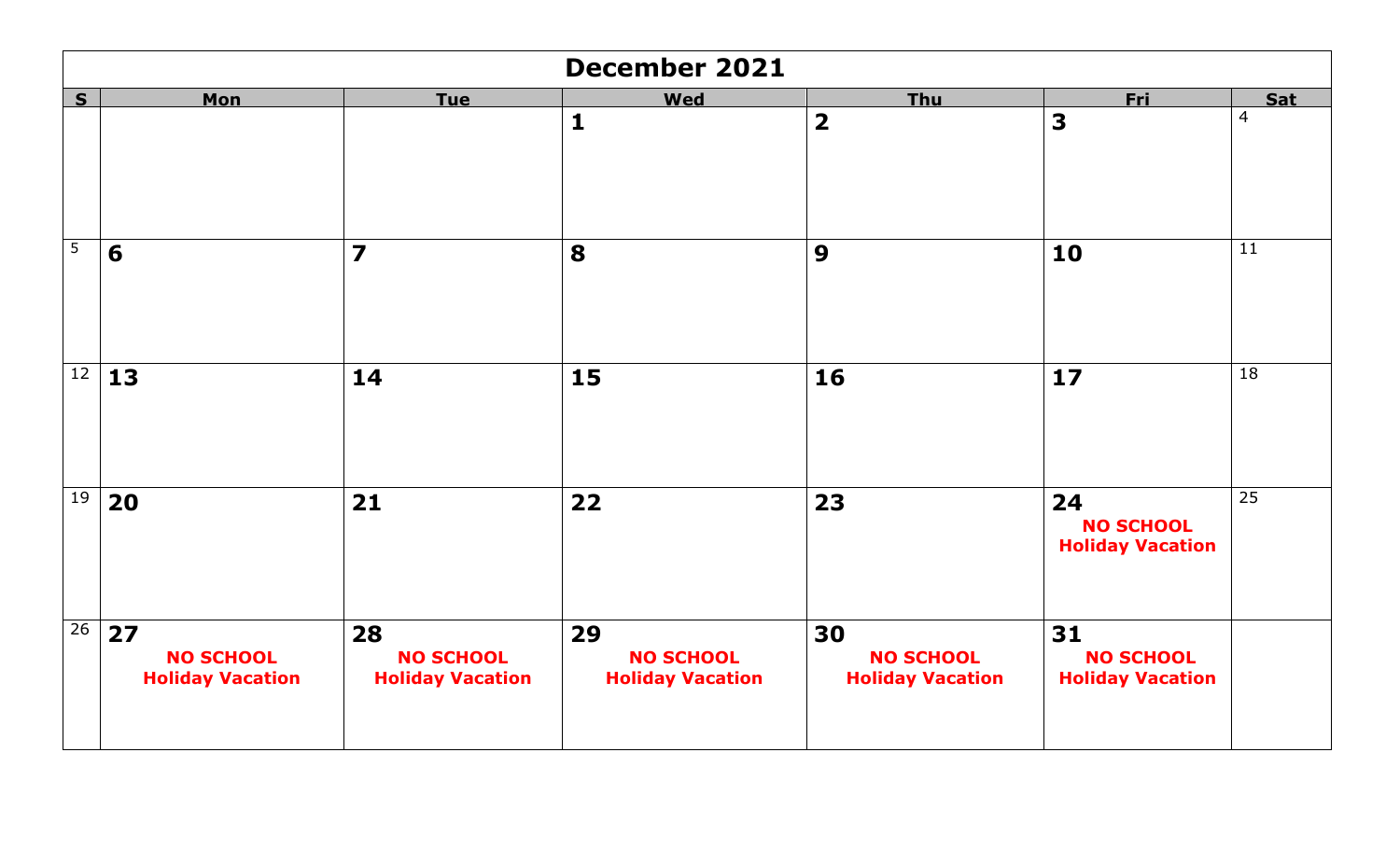|                | <b>December 2021</b>                              |                                                   |                                                   |                                                   |                                                   |                 |  |  |
|----------------|---------------------------------------------------|---------------------------------------------------|---------------------------------------------------|---------------------------------------------------|---------------------------------------------------|-----------------|--|--|
| S              | <b>Mon</b>                                        | <b>Tue</b>                                        | <b>Wed</b>                                        | Thu                                               | <b>Fri</b>                                        | <b>Sat</b>      |  |  |
|                |                                                   |                                                   | $\mathbf{1}$                                      | $\overline{\mathbf{2}}$                           | $\overline{\mathbf{3}}$                           | $\overline{4}$  |  |  |
| $\overline{5}$ | 6                                                 | $\overline{\mathbf{z}}$                           | 8                                                 | 9                                                 | 10                                                | 11              |  |  |
|                | $\sqrt{12}$ 13                                    | 14                                                | 15                                                | 16                                                | 17                                                | 18              |  |  |
| 19             | 20                                                | 21                                                | 22                                                | 23                                                | 24<br><b>NO SCHOOL</b><br><b>Holiday Vacation</b> | $\overline{25}$ |  |  |
| 26             | 27<br><b>NO SCHOOL</b><br><b>Holiday Vacation</b> | 28<br><b>NO SCHOOL</b><br><b>Holiday Vacation</b> | 29<br><b>NO SCHOOL</b><br><b>Holiday Vacation</b> | 30<br><b>NO SCHOOL</b><br><b>Holiday Vacation</b> | 31<br><b>NO SCHOOL</b><br><b>Holiday Vacation</b> |                 |  |  |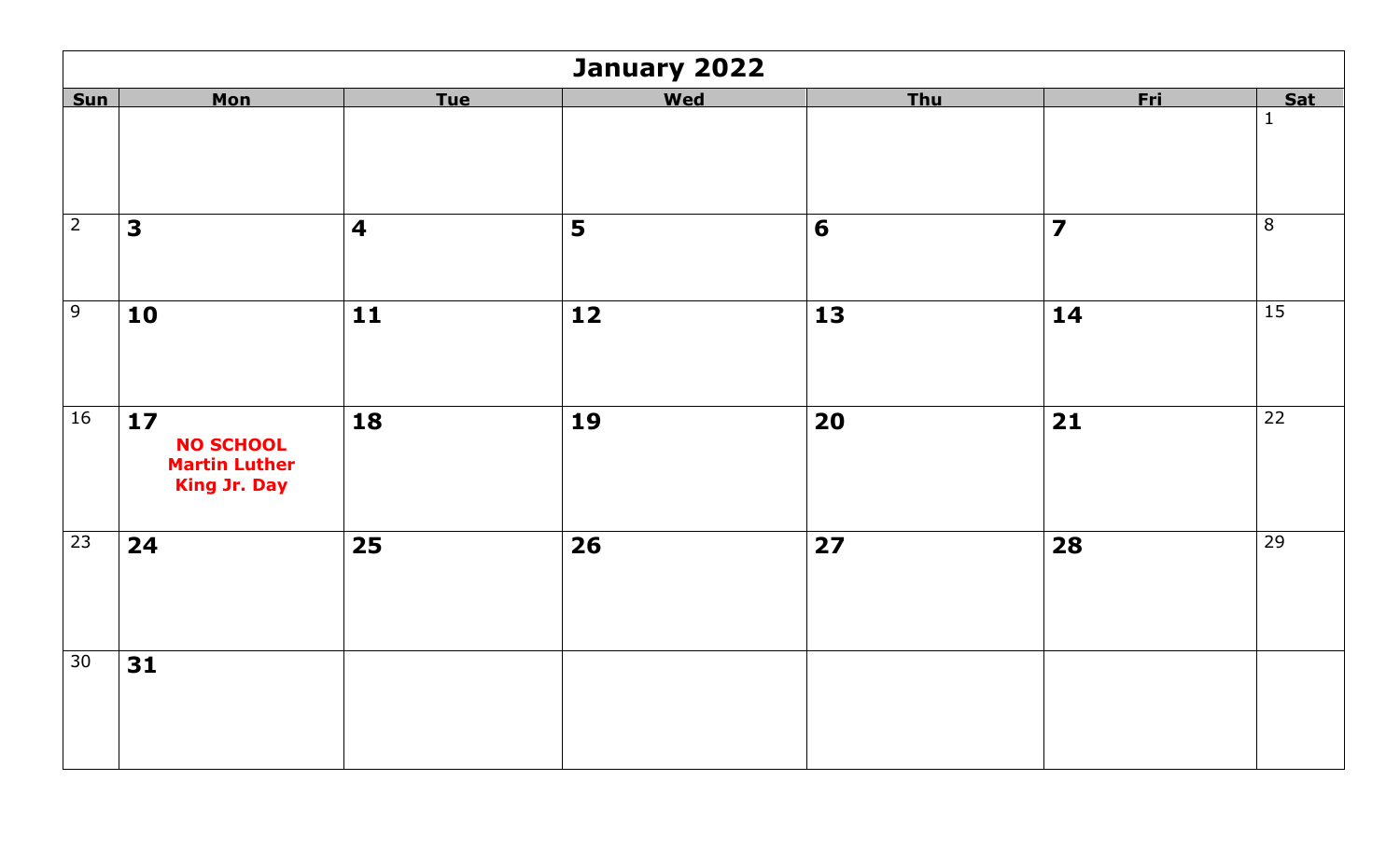|                 | January 2022                                                                                |                         |     |                |                         |              |  |
|-----------------|---------------------------------------------------------------------------------------------|-------------------------|-----|----------------|-------------------------|--------------|--|
| <b>Sun</b>      | <b>Mon</b>                                                                                  | <b>Tue</b>              | Wed | <b>Thu</b>     | <b>Fri</b>              | Sat          |  |
|                 |                                                                                             |                         |     |                |                         | $\mathbf{1}$ |  |
| $\overline{2}$  | 3                                                                                           | $\overline{\mathbf{4}}$ | 5   | $6\phantom{1}$ | $\overline{\mathbf{z}}$ | 8            |  |
| $\overline{9}$  | 10                                                                                          | $\mathbf{11}$           | 12  | 13             | 14                      | 15           |  |
| 16              | $\overline{\mathbf{17}}$<br><b>NO SCHOOL</b><br><b>Martin Luther</b><br><b>King Jr. Day</b> | 18                      | 19  | 20             | 21                      | 22           |  |
| $\overline{23}$ | 24                                                                                          | 25                      | 26  | 27             | 28                      | 29           |  |
| 30              | 31                                                                                          |                         |     |                |                         |              |  |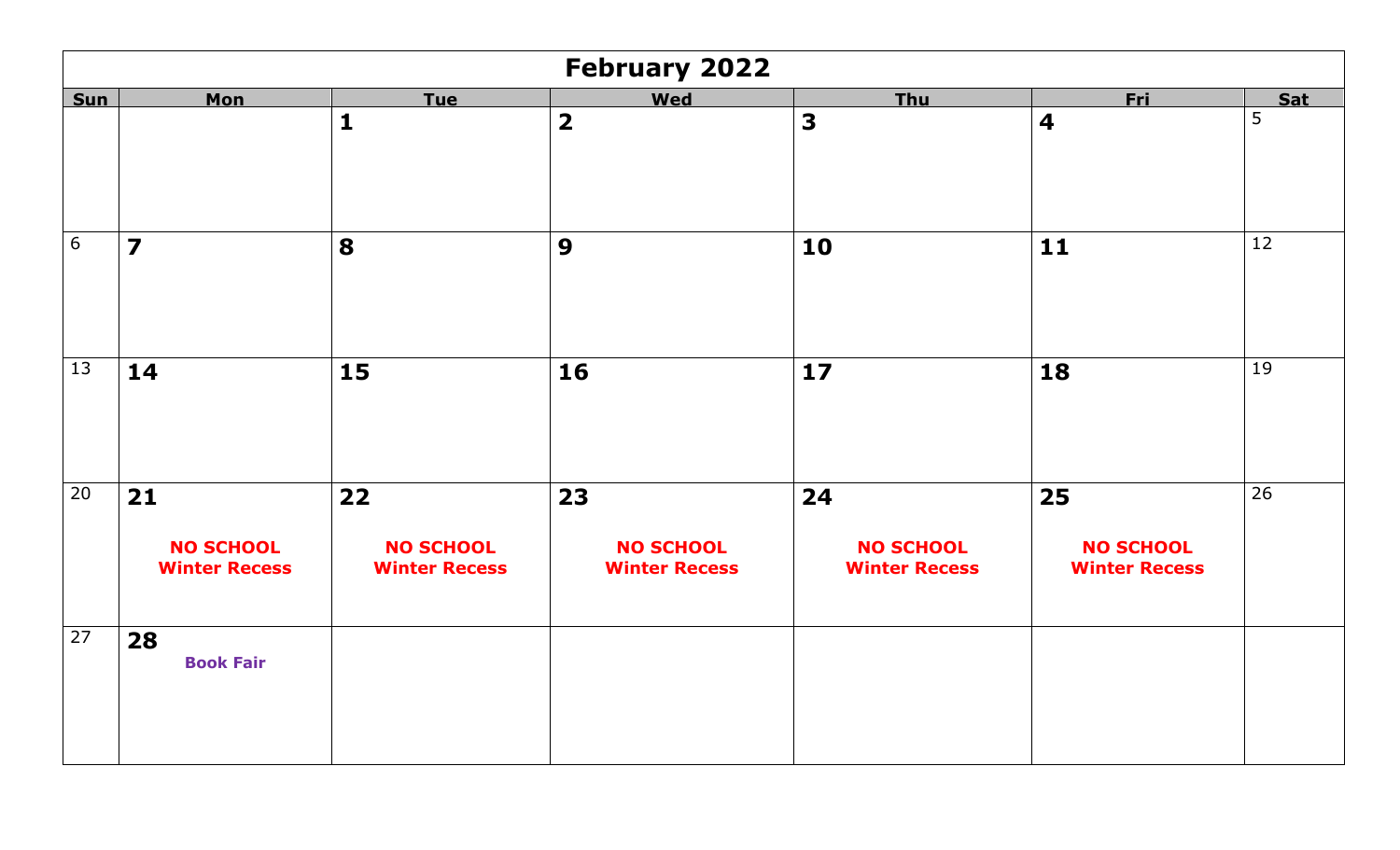|            | <b>February 2022</b>                             |                                                  |                                                |                                                |                                                |     |  |  |
|------------|--------------------------------------------------|--------------------------------------------------|------------------------------------------------|------------------------------------------------|------------------------------------------------|-----|--|--|
| <b>Sun</b> | Mon                                              | <b>Tue</b>                                       | Wed                                            | <b>Thu</b>                                     | <b>Fri</b>                                     | Sat |  |  |
|            |                                                  | $\mathbf{1}$                                     | $\overline{\mathbf{2}}$                        | $\overline{\mathbf{3}}$                        | $\overline{\mathbf{4}}$                        | 5   |  |  |
| 6          | $\overline{\mathbf{z}}$                          | 8                                                | 9                                              | 10                                             | 11                                             | 12  |  |  |
| 13         | 14                                               | 15                                               | 16                                             | 17                                             | 18                                             | 19  |  |  |
| 20         | $21$<br><b>NO SCHOOL</b><br><b>Winter Recess</b> | $22$<br><b>NO SCHOOL</b><br><b>Winter Recess</b> | 23<br><b>NO SCHOOL</b><br><b>Winter Recess</b> | 24<br><b>NO SCHOOL</b><br><b>Winter Recess</b> | 25<br><b>NO SCHOOL</b><br><b>Winter Recess</b> | 26  |  |  |
| 27         | 28<br><b>Book Fair</b>                           |                                                  |                                                |                                                |                                                |     |  |  |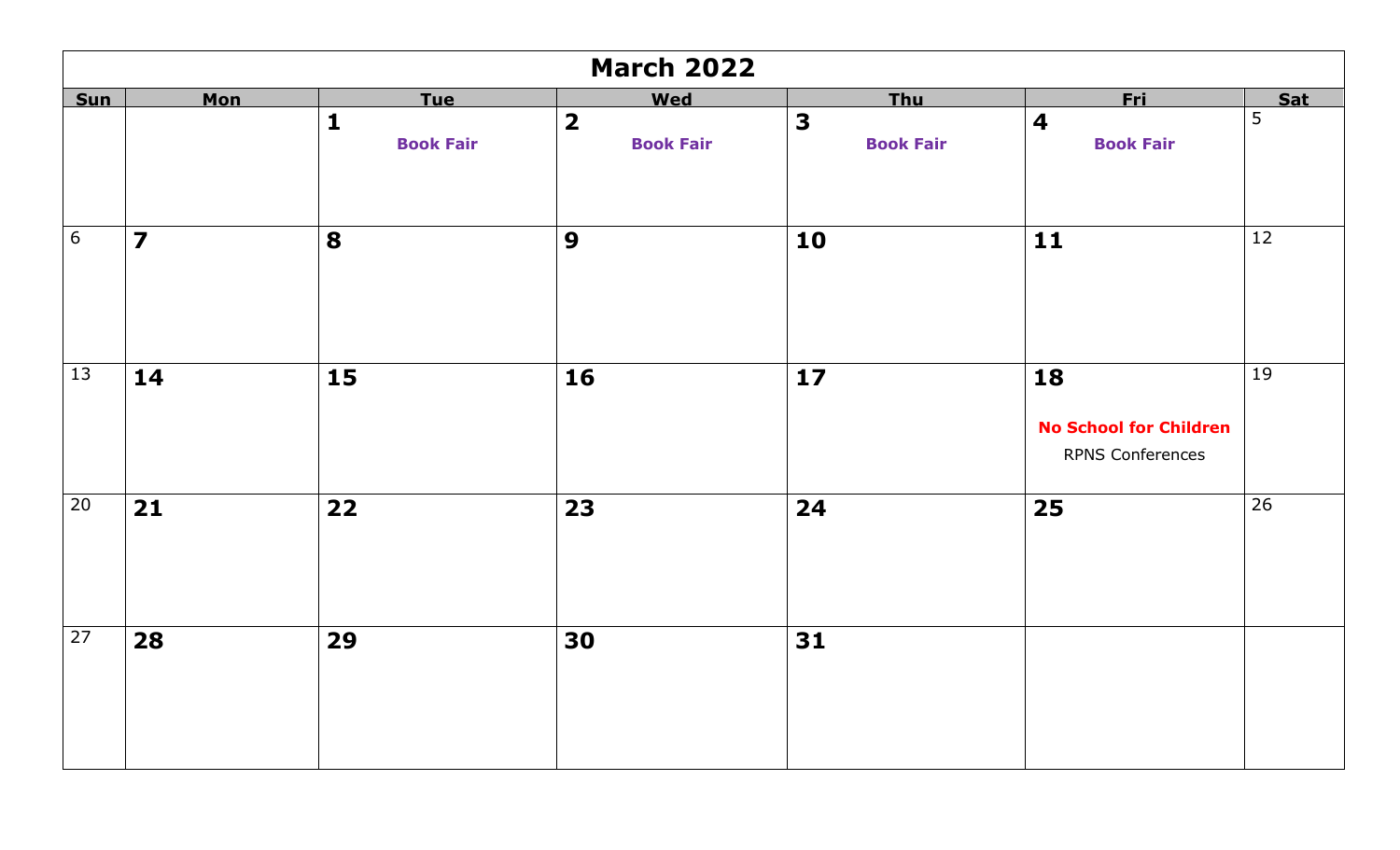|            |                         |                  | <b>March 2022</b>       |                  |                                                                |                 |
|------------|-------------------------|------------------|-------------------------|------------------|----------------------------------------------------------------|-----------------|
| <b>Sun</b> | <b>Mon</b>              | <b>Tue</b>       | Wed                     | <b>Thu</b>       | <b>Fri</b>                                                     | <b>Sat</b>      |
|            |                         | $\mathbf{1}$     | $\overline{\mathbf{2}}$ | 3                | $\overline{\mathbf{4}}$                                        | $\overline{5}$  |
|            |                         | <b>Book Fair</b> | <b>Book Fair</b>        | <b>Book Fair</b> | <b>Book Fair</b>                                               |                 |
| $6\,$      | $\overline{\mathbf{z}}$ | 8                | 9                       | 10               | 11                                                             | 12              |
| 13         | 14                      | 15               | 16                      | $17$             | 18<br><b>No School for Children</b><br><b>RPNS Conferences</b> | 19              |
| 20         | 21                      | 22               | 23                      | 24               | 25                                                             | $\overline{26}$ |
| 27         | 28                      | 29               | 30                      | 31               |                                                                |                 |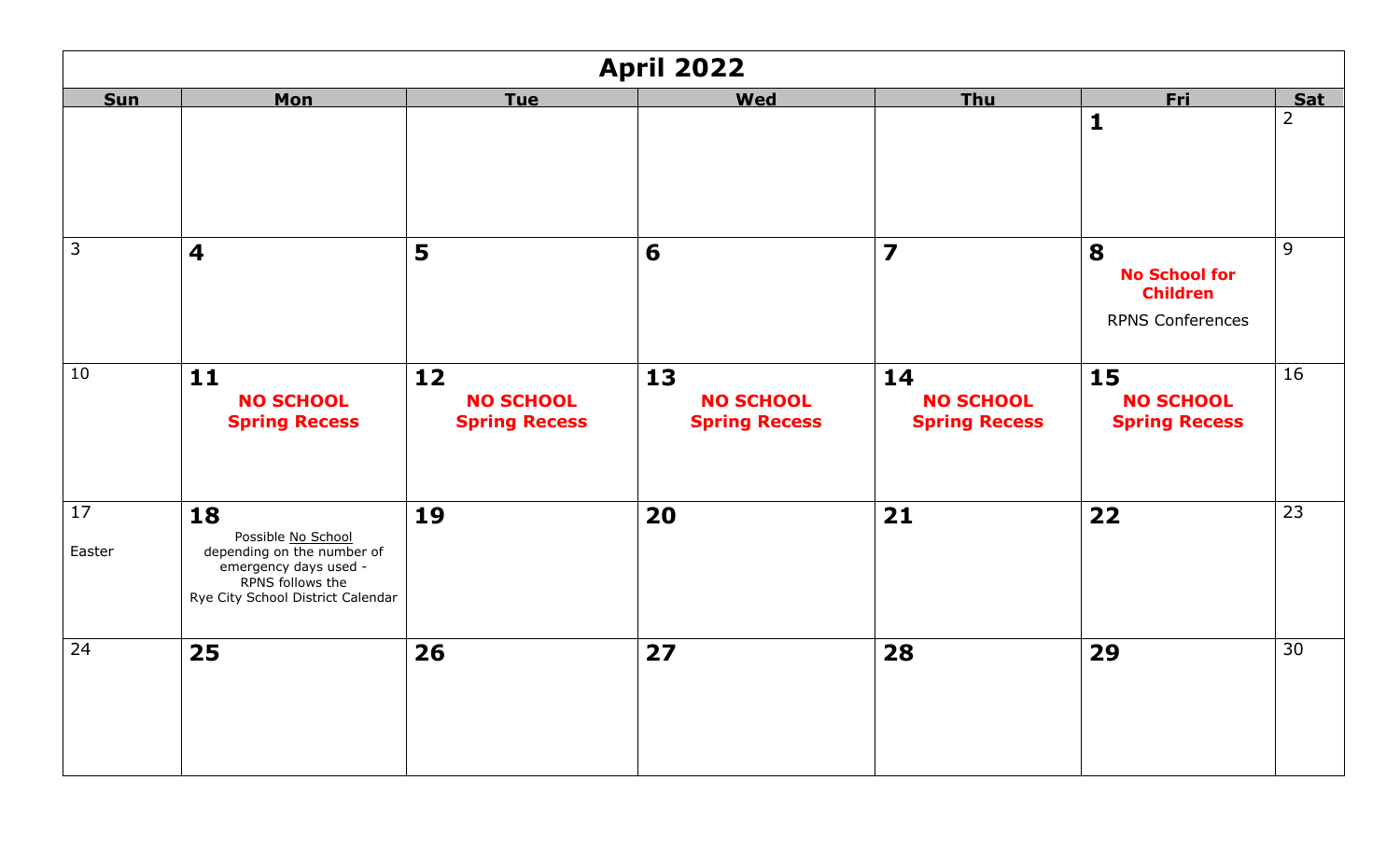|              | <b>April 2022</b>                                                                                                                        |                                                |                                                |                                                |                                                                         |                |  |  |
|--------------|------------------------------------------------------------------------------------------------------------------------------------------|------------------------------------------------|------------------------------------------------|------------------------------------------------|-------------------------------------------------------------------------|----------------|--|--|
| <b>Sun</b>   | <b>Mon</b>                                                                                                                               | <b>Tue</b>                                     | <b>Wed</b>                                     | <b>Thu</b>                                     | <u>Fri</u>                                                              | <b>Sat</b>     |  |  |
|              |                                                                                                                                          |                                                |                                                |                                                | $\mathbf{1}$                                                            | $\overline{2}$ |  |  |
| 3            | 4                                                                                                                                        | 5                                              | 6                                              | $\overline{\mathbf{z}}$                        | 8<br><b>No School for</b><br><b>Children</b><br><b>RPNS Conferences</b> | 9              |  |  |
| 10           | 11<br><b>NO SCHOOL</b><br><b>Spring Recess</b>                                                                                           | 12<br><b>NO SCHOOL</b><br><b>Spring Recess</b> | 13<br><b>NO SCHOOL</b><br><b>Spring Recess</b> | 14<br><b>NO SCHOOL</b><br><b>Spring Recess</b> | 15<br><b>NO SCHOOL</b><br><b>Spring Recess</b>                          | 16             |  |  |
| 17<br>Easter | 18<br>Possible No School<br>depending on the number of<br>emergency days used -<br>RPNS follows the<br>Rye City School District Calendar | 19                                             | 20                                             | 21                                             | 22                                                                      | 23             |  |  |
| 24           | 25                                                                                                                                       | 26                                             | 27                                             | 28                                             | 29                                                                      | 30             |  |  |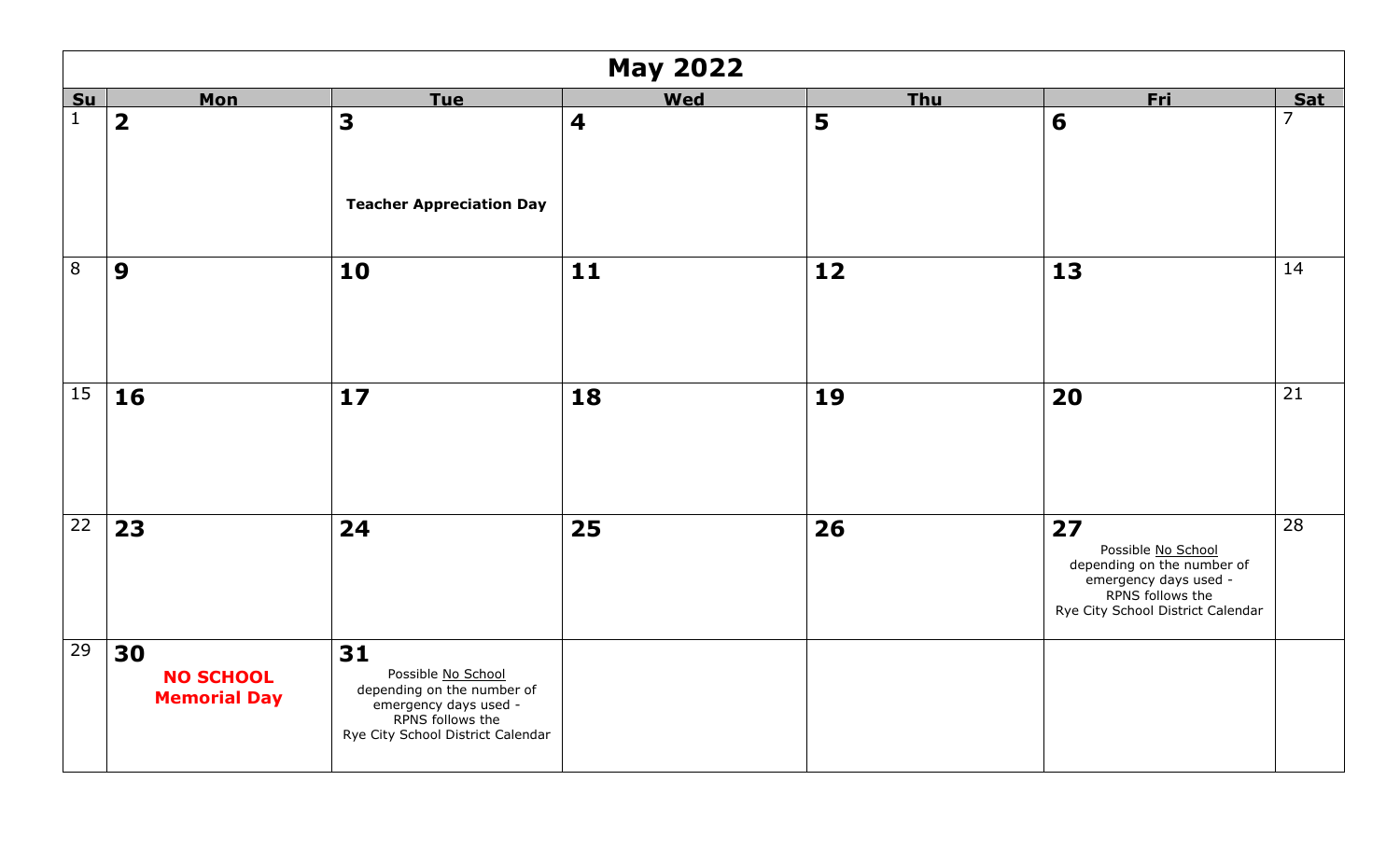|              | <b>May 2022</b>                               |                                                                                                                                          |                         |            |                                                                                                                                          |                |  |
|--------------|-----------------------------------------------|------------------------------------------------------------------------------------------------------------------------------------------|-------------------------|------------|------------------------------------------------------------------------------------------------------------------------------------------|----------------|--|
| Su           | <b>Mon</b>                                    | <u>Tue</u>                                                                                                                               | <b>Wed</b>              | <b>Thu</b> | <u>Fri</u>                                                                                                                               | <b>Sat</b>     |  |
| $\mathbf{1}$ | $\overline{\mathbf{2}}$                       | $\overline{\mathbf{3}}$<br><b>Teacher Appreciation Day</b>                                                                               | $\overline{\mathbf{4}}$ | 5          | 6                                                                                                                                        | $\overline{7}$ |  |
| $\,8\,$      | 9                                             | 10                                                                                                                                       | 11                      | $12$       | 13                                                                                                                                       | 14             |  |
| 15           | 16                                            | 17                                                                                                                                       | 18                      | 19         | 20                                                                                                                                       | 21             |  |
| 22           | 23                                            | 24                                                                                                                                       | 25                      | 26         | 27<br>Possible No School<br>depending on the number of<br>emergency days used -<br>RPNS follows the<br>Rye City School District Calendar | 28             |  |
| 29           | 30<br><b>NO SCHOOL</b><br><b>Memorial Day</b> | 31<br>Possible No School<br>depending on the number of<br>emergency days used -<br>RPNS follows the<br>Rye City School District Calendar |                         |            |                                                                                                                                          |                |  |